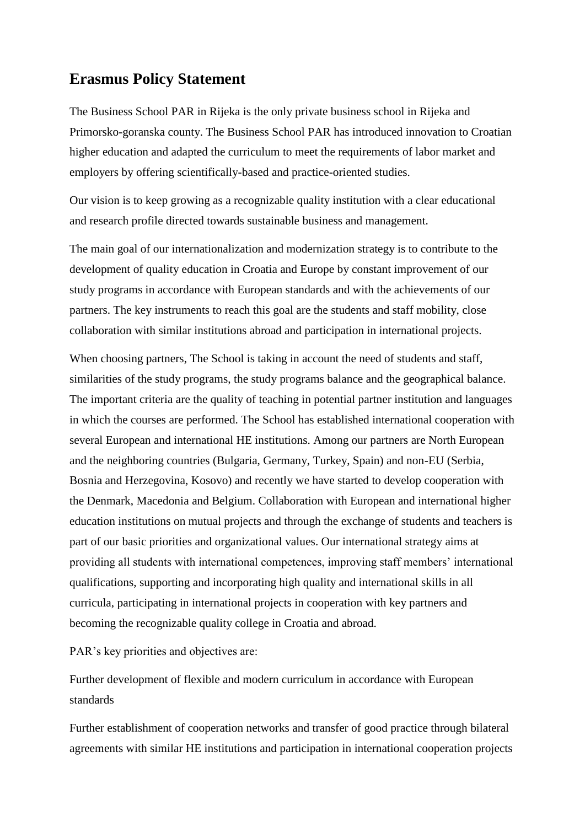## **Erasmus Policy Statement**

The Business School PAR in Rijeka is the only private business school in Rijeka and Primorsko-goranska county. The Business School PAR has introduced innovation to Croatian higher education and adapted the curriculum to meet the requirements of labor market and employers by offering scientifically-based and practice-oriented studies.

Our vision is to keep growing as a recognizable quality institution with a clear educational and research profile directed towards sustainable business and management.

The main goal of our internationalization and modernization strategy is to contribute to the development of quality education in Croatia and Europe by constant improvement of our study programs in accordance with European standards and with the achievements of our partners. The key instruments to reach this goal are the students and staff mobility, close collaboration with similar institutions abroad and participation in international projects.

When choosing partners, The School is taking in account the need of students and staff, similarities of the study programs, the study programs balance and the geographical balance. The important criteria are the quality of teaching in potential partner institution and languages in which the courses are performed. The School has established international cooperation with several European and international HE institutions. Among our partners are North European and the neighboring countries (Bulgaria, Germany, Turkey, Spain) and non-EU (Serbia, Bosnia and Herzegovina, Kosovo) and recently we have started to develop cooperation with the Denmark, Macedonia and Belgium. Collaboration with European and international higher education institutions on mutual projects and through the exchange of students and teachers is part of our basic priorities and organizational values. Our international strategy aims at providing all students with international competences, improving staff members' international qualifications, supporting and incorporating high quality and international skills in all curricula, participating in international projects in cooperation with key partners and becoming the recognizable quality college in Croatia and abroad.

PAR's key priorities and objectives are:

Further development of flexible and modern curriculum in accordance with European standards

Further establishment of cooperation networks and transfer of good practice through bilateral agreements with similar HE institutions and participation in international cooperation projects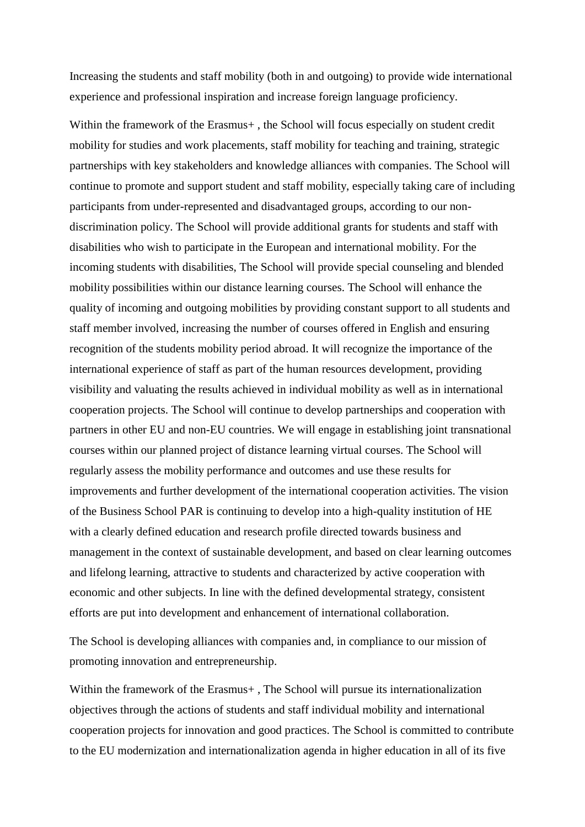Increasing the students and staff mobility (both in and outgoing) to provide wide international experience and professional inspiration and increase foreign language proficiency.

Within the framework of the Erasmus+, the School will focus especially on student credit mobility for studies and work placements, staff mobility for teaching and training, strategic partnerships with key stakeholders and knowledge alliances with companies. The School will continue to promote and support student and staff mobility, especially taking care of including participants from under-represented and disadvantaged groups, according to our nondiscrimination policy. The School will provide additional grants for students and staff with disabilities who wish to participate in the European and international mobility. For the incoming students with disabilities, The School will provide special counseling and blended mobility possibilities within our distance learning courses. The School will enhance the quality of incoming and outgoing mobilities by providing constant support to all students and staff member involved, increasing the number of courses offered in English and ensuring recognition of the students mobility period abroad. It will recognize the importance of the international experience of staff as part of the human resources development, providing visibility and valuating the results achieved in individual mobility as well as in international cooperation projects. The School will continue to develop partnerships and cooperation with partners in other EU and non-EU countries. We will engage in establishing joint transnational courses within our planned project of distance learning virtual courses. The School will regularly assess the mobility performance and outcomes and use these results for improvements and further development of the international cooperation activities. The vision of the Business School PAR is continuing to develop into a high-quality institution of HE with a clearly defined education and research profile directed towards business and management in the context of sustainable development, and based on clear learning outcomes and lifelong learning, attractive to students and characterized by active cooperation with economic and other subjects. In line with the defined developmental strategy, consistent efforts are put into development and enhancement of international collaboration.

The School is developing alliances with companies and, in compliance to our mission of promoting innovation and entrepreneurship.

Within the framework of the Erasmus+, The School will pursue its internationalization objectives through the actions of students and staff individual mobility and international cooperation projects for innovation and good practices. The School is committed to contribute to the EU modernization and internationalization agenda in higher education in all of its five